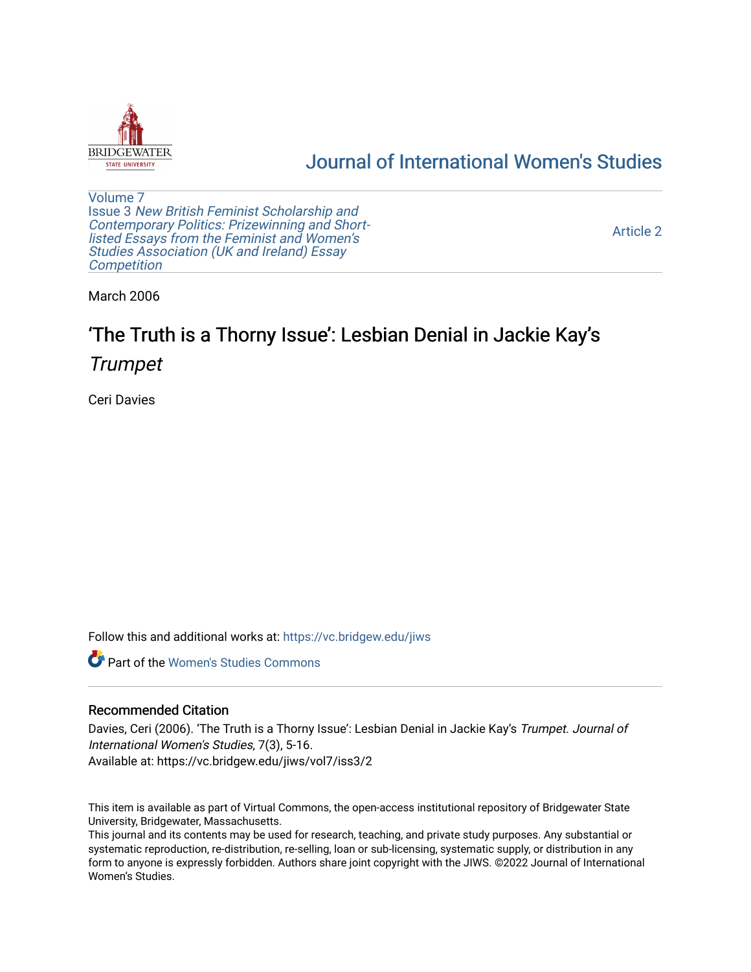

## [Journal of International Women's Studies](https://vc.bridgew.edu/jiws)

[Volume 7](https://vc.bridgew.edu/jiws/vol7) Issue 3 [New British Feminist Scholarship and](https://vc.bridgew.edu/jiws/vol7/iss3)  [Contemporary Politics: Prizewinning and Short](https://vc.bridgew.edu/jiws/vol7/iss3)[listed Essays from the Feminist and Women's](https://vc.bridgew.edu/jiws/vol7/iss3)  [Studies Association \(UK and Ireland\) Essay](https://vc.bridgew.edu/jiws/vol7/iss3)  **Competition** 

[Article 2](https://vc.bridgew.edu/jiws/vol7/iss3/2) 

March 2006

# 'The Truth is a Thorny Issue': Lesbian Denial in Jackie Kay's **Trumpet**

Ceri Davies

Follow this and additional works at: [https://vc.bridgew.edu/jiws](https://vc.bridgew.edu/jiws?utm_source=vc.bridgew.edu%2Fjiws%2Fvol7%2Fiss3%2F2&utm_medium=PDF&utm_campaign=PDFCoverPages)

**C** Part of the Women's Studies Commons

### Recommended Citation

Davies, Ceri (2006). 'The Truth is a Thorny Issue': Lesbian Denial in Jackie Kay's Trumpet. Journal of International Women's Studies, 7(3), 5-16. Available at: https://vc.bridgew.edu/jiws/vol7/iss3/2

This item is available as part of Virtual Commons, the open-access institutional repository of Bridgewater State University, Bridgewater, Massachusetts.

This journal and its contents may be used for research, teaching, and private study purposes. Any substantial or systematic reproduction, re-distribution, re-selling, loan or sub-licensing, systematic supply, or distribution in any form to anyone is expressly forbidden. Authors share joint copyright with the JIWS. ©2022 Journal of International Women's Studies.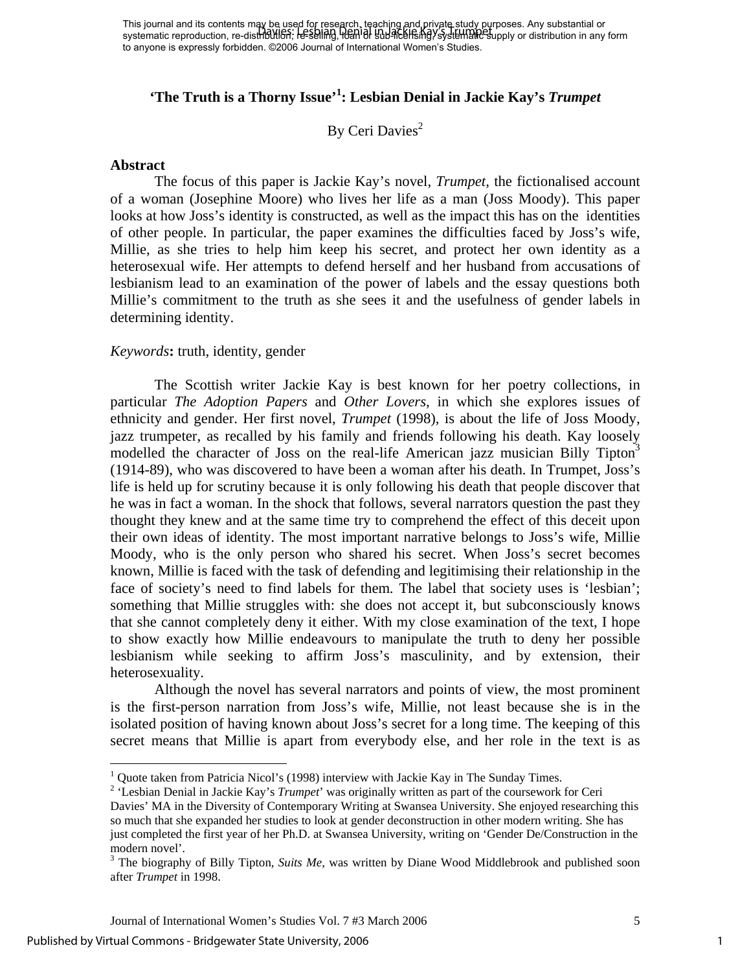## **'The Truth is a Thorny Issue['1](#page-1-0) : Lesbian Denial in Jackie Kay's** *Trumpet*

## By Ceri Davies<sup>2</sup>

#### **Abstract**

The focus of this paper is Jackie Kay's novel, *Trumpet*, the fictionalised account of a woman (Josephine Moore) who lives her life as a man (Joss Moody). This paper looks at how Joss's identity is constructed, as well as the impact this has on the identities of other people. In particular, the paper examines the difficulties faced by Joss's wife, Millie, as she tries to help him keep his secret, and protect her own identity as a heterosexual wife. Her attempts to defend herself and her husband from accusations of lesbianism lead to an examination of the power of labels and the essay questions both Millie's commitment to the truth as she sees it and the usefulness of gender labels in determining identity.

### *Keywords***:** truth, identity, gender

 The Scottish writer Jackie Kay is best known for her poetry collections, in particular *The Adoption Papers* and *Other Lovers*, in which she explores issues of ethnicity and gender. Her first novel, *Trumpet* (1998), is about the life of Joss Moody, jazz trumpeter, as recalled by his family and friends following his death. Kay loosely modelled the character of Joss on the real-life American jazz musician Billy Tipton<sup>3</sup> (1914-89), who was discovered to have been a woman after his death. In Trumpet, Joss's life is held up for scrutiny because it is only following his death that people discover that he was in fact a woman. In the shock that follows, several narrators question the past they thought they knew and at the same time try to comprehend the effect of this deceit upon their own ideas of identity. The most important narrative belongs to Joss's wife, Millie Moody, who is the only person who shared his secret. When Joss's secret becomes known, Millie is faced with the task of defending and legitimising their relationship in the face of society's need to find labels for them. The label that society uses is 'lesbian'; something that Millie struggles with: she does not accept it, but subconsciously knows that she cannot completely deny it either. With my close examination of the text, I hope to show exactly how Millie endeavours to manipulate the truth to deny her possible lesbianism while seeking to affirm Joss's masculinity, and by extension, their heterosexuality.

Although the novel has several narrators and points of view, the most prominent is the first-person narration from Joss's wife, Millie, not least because she is in the isolated position of having known about Joss's secret for a long time. The keeping of this secret means that Millie is apart from everybody else, and her role in the text is as

<span id="page-1-1"></span><sup>2</sup> 'Lesbian Denial in Jackie Kay's *Trumpet*' was originally written as part of the coursework for Ceri

 $\overline{a}$ 

1

<span id="page-1-0"></span><sup>&</sup>lt;sup>1</sup> Quote taken from Patricia Nicol's (1998) interview with Jackie Kay in The Sunday Times.

Davies' MA in the Diversity of Contemporary Writing at Swansea University. She enjoyed researching this so much that she expanded her studies to look at gender deconstruction in other modern writing. She has just completed the first year of her Ph.D. at Swansea University, writing on 'Gender De/Construction in the modern novel'.

<span id="page-1-2"></span><sup>&</sup>lt;sup>3</sup> The biography of Billy Tipton, *Suits Me*, was written by Diane Wood Middlebrook and published soon after *Trumpet* in 1998.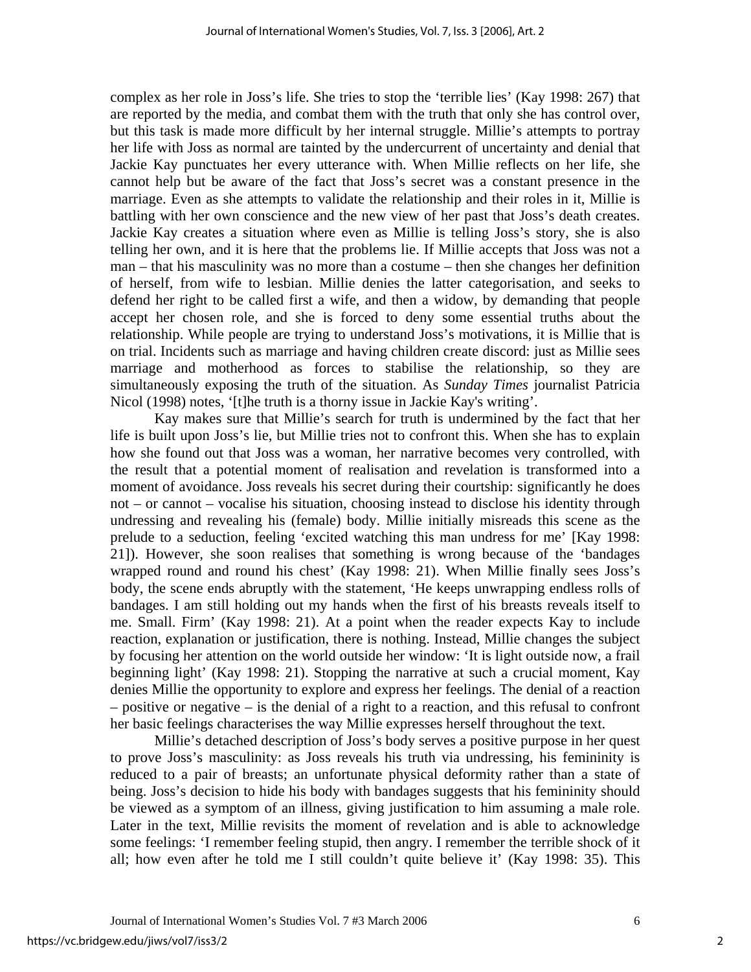complex as her role in Joss's life. She tries to stop the 'terrible lies' (Kay 1998: 267) that are reported by the media, and combat them with the truth that only she has control over, but this task is made more difficult by her internal struggle. Millie's attempts to portray her life with Joss as normal are tainted by the undercurrent of uncertainty and denial that Jackie Kay punctuates her every utterance with. When Millie reflects on her life, she cannot help but be aware of the fact that Joss's secret was a constant presence in the marriage. Even as she attempts to validate the relationship and their roles in it, Millie is battling with her own conscience and the new view of her past that Joss's death creates. Jackie Kay creates a situation where even as Millie is telling Joss's story, she is also telling her own, and it is here that the problems lie. If Millie accepts that Joss was not a man – that his masculinity was no more than a costume – then she changes her definition of herself, from wife to lesbian. Millie denies the latter categorisation, and seeks to defend her right to be called first a wife, and then a widow, by demanding that people accept her chosen role, and she is forced to deny some essential truths about the relationship. While people are trying to understand Joss's motivations, it is Millie that is on trial. Incidents such as marriage and having children create discord: just as Millie sees marriage and motherhood as forces to stabilise the relationship, so they are simultaneously exposing the truth of the situation. As *Sunday Times* journalist Patricia Nicol (1998) notes, '[t]he truth is a thorny issue in Jackie Kay's writing'.

 Kay makes sure that Millie's search for truth is undermined by the fact that her life is built upon Joss's lie, but Millie tries not to confront this. When she has to explain how she found out that Joss was a woman, her narrative becomes very controlled, with the result that a potential moment of realisation and revelation is transformed into a moment of avoidance. Joss reveals his secret during their courtship: significantly he does not – or cannot – vocalise his situation, choosing instead to disclose his identity through undressing and revealing his (female) body. Millie initially misreads this scene as the prelude to a seduction, feeling 'excited watching this man undress for me' [Kay 1998: 21]). However, she soon realises that something is wrong because of the 'bandages wrapped round and round his chest' (Kay 1998: 21). When Millie finally sees Joss's body, the scene ends abruptly with the statement, 'He keeps unwrapping endless rolls of bandages. I am still holding out my hands when the first of his breasts reveals itself to me. Small. Firm' (Kay 1998: 21). At a point when the reader expects Kay to include reaction, explanation or justification, there is nothing. Instead, Millie changes the subject by focusing her attention on the world outside her window: 'It is light outside now, a frail beginning light' (Kay 1998: 21). Stopping the narrative at such a crucial moment, Kay denies Millie the opportunity to explore and express her feelings. The denial of a reaction – positive or negative – is the denial of a right to a reaction, and this refusal to confront her basic feelings characterises the way Millie expresses herself throughout the text.

 Millie's detached description of Joss's body serves a positive purpose in her quest to prove Joss's masculinity: as Joss reveals his truth via undressing, his femininity is reduced to a pair of breasts; an unfortunate physical deformity rather than a state of being. Joss's decision to hide his body with bandages suggests that his femininity should be viewed as a symptom of an illness, giving justification to him assuming a male role. Later in the text, Millie revisits the moment of revelation and is able to acknowledge some feelings: 'I remember feeling stupid, then angry. I remember the terrible shock of it all; how even after he told me I still couldn't quite believe it' (Kay 1998: 35). This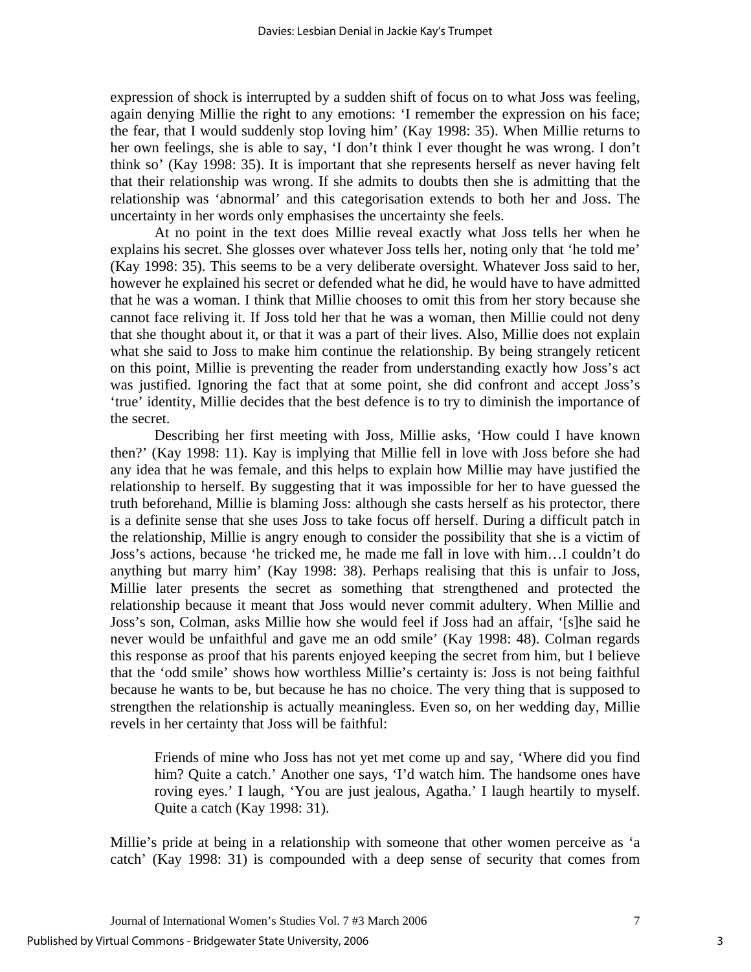expression of shock is interrupted by a sudden shift of focus on to what Joss was feeling, again denying Millie the right to any emotions: 'I remember the expression on his face; the fear, that I would suddenly stop loving him' (Kay 1998: 35). When Millie returns to her own feelings, she is able to say, 'I don't think I ever thought he was wrong. I don't think so' (Kay 1998: 35). It is important that she represents herself as never having felt that their relationship was wrong. If she admits to doubts then she is admitting that the relationship was 'abnormal' and this categorisation extends to both her and Joss. The uncertainty in her words only emphasises the uncertainty she feels.

 At no point in the text does Millie reveal exactly what Joss tells her when he explains his secret. She glosses over whatever Joss tells her, noting only that 'he told me' (Kay 1998: 35). This seems to be a very deliberate oversight. Whatever Joss said to her, however he explained his secret or defended what he did, he would have to have admitted that he was a woman. I think that Millie chooses to omit this from her story because she cannot face reliving it. If Joss told her that he was a woman, then Millie could not deny that she thought about it, or that it was a part of their lives. Also, Millie does not explain what she said to Joss to make him continue the relationship. By being strangely reticent on this point, Millie is preventing the reader from understanding exactly how Joss's act was justified. Ignoring the fact that at some point, she did confront and accept Joss's 'true' identity, Millie decides that the best defence is to try to diminish the importance of the secret.

 Describing her first meeting with Joss, Millie asks, 'How could I have known then?' (Kay 1998: 11). Kay is implying that Millie fell in love with Joss before she had any idea that he was female, and this helps to explain how Millie may have justified the relationship to herself. By suggesting that it was impossible for her to have guessed the truth beforehand, Millie is blaming Joss: although she casts herself as his protector, there is a definite sense that she uses Joss to take focus off herself. During a difficult patch in the relationship, Millie is angry enough to consider the possibility that she is a victim of Joss's actions, because 'he tricked me, he made me fall in love with him…I couldn't do anything but marry him' (Kay 1998: 38). Perhaps realising that this is unfair to Joss, Millie later presents the secret as something that strengthened and protected the relationship because it meant that Joss would never commit adultery. When Millie and Joss's son, Colman, asks Millie how she would feel if Joss had an affair, '[s]he said he never would be unfaithful and gave me an odd smile' (Kay 1998: 48). Colman regards this response as proof that his parents enjoyed keeping the secret from him, but I believe that the 'odd smile' shows how worthless Millie's certainty is: Joss is not being faithful because he wants to be, but because he has no choice. The very thing that is supposed to strengthen the relationship is actually meaningless. Even so, on her wedding day, Millie revels in her certainty that Joss will be faithful:

Friends of mine who Joss has not yet met come up and say, 'Where did you find him? Quite a catch.' Another one says, 'I'd watch him. The handsome ones have roving eyes.' I laugh, 'You are just jealous, Agatha.' I laugh heartily to myself. Quite a catch (Kay 1998: 31).

Millie's pride at being in a relationship with someone that other women perceive as 'a catch' (Kay 1998: 31) is compounded with a deep sense of security that comes from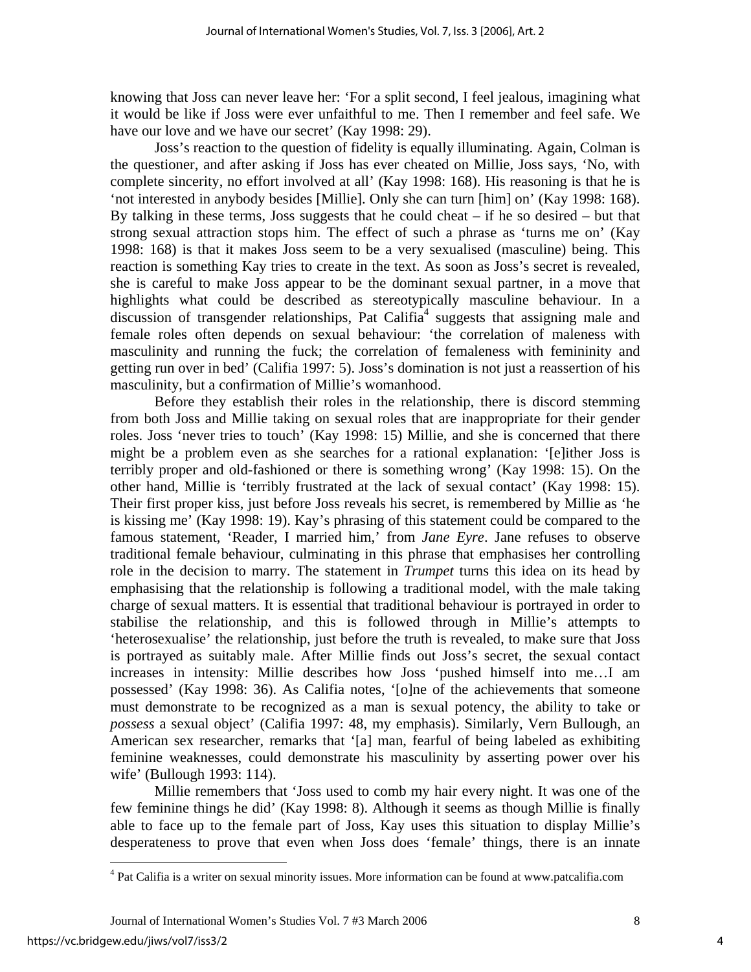knowing that Joss can never leave her: 'For a split second, I feel jealous, imagining what it would be like if Joss were ever unfaithful to me. Then I remember and feel safe. We have our love and we have our secret' (Kay 1998: 29).

Joss's reaction to the question of fidelity is equally illuminating. Again, Colman is the questioner, and after asking if Joss has ever cheated on Millie, Joss says, 'No, with complete sincerity, no effort involved at all' (Kay 1998: 168). His reasoning is that he is 'not interested in anybody besides [Millie]. Only she can turn [him] on' (Kay 1998: 168). By talking in these terms, Joss suggests that he could cheat – if he so desired – but that strong sexual attraction stops him. The effect of such a phrase as 'turns me on' (Kay 1998: 168) is that it makes Joss seem to be a very sexualised (masculine) being. This reaction is something Kay tries to create in the text. As soon as Joss's secret is revealed, she is careful to make Joss appear to be the dominant sexual partner, in a move that highlights what could be described as stereotypically masculine behaviour. In a discussion of transgender relationships, Pat Califia<sup>[4](#page-4-0)</sup> suggests that assigning male and female roles often depends on sexual behaviour: 'the correlation of maleness with masculinity and running the fuck; the correlation of femaleness with femininity and getting run over in bed' (Califia 1997: 5). Joss's domination is not just a reassertion of his masculinity, but a confirmation of Millie's womanhood.

Before they establish their roles in the relationship, there is discord stemming from both Joss and Millie taking on sexual roles that are inappropriate for their gender roles. Joss 'never tries to touch' (Kay 1998: 15) Millie, and she is concerned that there might be a problem even as she searches for a rational explanation: '[e]ither Joss is terribly proper and old-fashioned or there is something wrong' (Kay 1998: 15). On the other hand, Millie is 'terribly frustrated at the lack of sexual contact' (Kay 1998: 15). Their first proper kiss, just before Joss reveals his secret, is remembered by Millie as 'he is kissing me' (Kay 1998: 19). Kay's phrasing of this statement could be compared to the famous statement, 'Reader, I married him,' from *Jane Eyre*. Jane refuses to observe traditional female behaviour, culminating in this phrase that emphasises her controlling role in the decision to marry. The statement in *Trumpet* turns this idea on its head by emphasising that the relationship is following a traditional model, with the male taking charge of sexual matters. It is essential that traditional behaviour is portrayed in order to stabilise the relationship, and this is followed through in Millie's attempts to 'heterosexualise' the relationship, just before the truth is revealed, to make sure that Joss is portrayed as suitably male. After Millie finds out Joss's secret, the sexual contact increases in intensity: Millie describes how Joss 'pushed himself into me…I am possessed' (Kay 1998: 36). As Califia notes, '[o]ne of the achievements that someone must demonstrate to be recognized as a man is sexual potency, the ability to take or *possess* a sexual object' (Califia 1997: 48, my emphasis). Similarly, Vern Bullough, an American sex researcher, remarks that '[a] man, fearful of being labeled as exhibiting feminine weaknesses, could demonstrate his masculinity by asserting power over his wife' (Bullough 1993: 114).

Millie remembers that 'Joss used to comb my hair every night. It was one of the few feminine things he did' (Kay 1998: 8). Although it seems as though Millie is finally able to face up to the female part of Joss, Kay uses this situation to display Millie's desperateness to prove that even when Joss does 'female' things, there is an innate

<u>.</u>

<span id="page-4-0"></span><sup>&</sup>lt;sup>4</sup> Pat Califia is a writer on sexual minority issues. More information can be found at www.patcalifia.com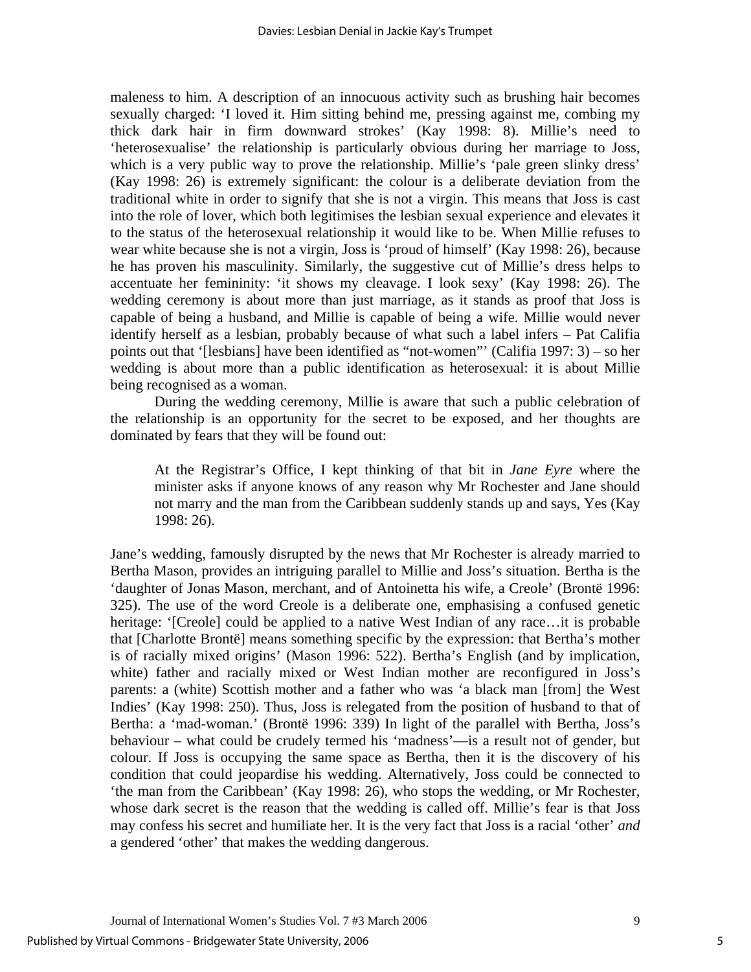maleness to him. A description of an innocuous activity such as brushing hair becomes sexually charged: 'I loved it. Him sitting behind me, pressing against me, combing my thick dark hair in firm downward strokes' (Kay 1998: 8). Millie's need to 'heterosexualise' the relationship is particularly obvious during her marriage to Joss, which is a very public way to prove the relationship. Millie's 'pale green slinky dress' (Kay 1998: 26) is extremely significant: the colour is a deliberate deviation from the traditional white in order to signify that she is not a virgin. This means that Joss is cast into the role of lover, which both legitimises the lesbian sexual experience and elevates it to the status of the heterosexual relationship it would like to be. When Millie refuses to wear white because she is not a virgin, Joss is 'proud of himself' (Kay 1998: 26), because he has proven his masculinity. Similarly, the suggestive cut of Millie's dress helps to accentuate her femininity: 'it shows my cleavage. I look sexy' (Kay 1998: 26). The wedding ceremony is about more than just marriage, as it stands as proof that Joss is capable of being a husband, and Millie is capable of being a wife. Millie would never identify herself as a lesbian, probably because of what such a label infers – Pat Califia points out that '[lesbians] have been identified as "not-women"' (Califia 1997: 3) – so her wedding is about more than a public identification as heterosexual: it is about Millie being recognised as a woman.

During the wedding ceremony, Millie is aware that such a public celebration of the relationship is an opportunity for the secret to be exposed, and her thoughts are dominated by fears that they will be found out:

At the Registrar's Office, I kept thinking of that bit in *Jane Eyre* where the minister asks if anyone knows of any reason why Mr Rochester and Jane should not marry and the man from the Caribbean suddenly stands up and says, Yes (Kay 1998: 26).

Jane's wedding, famously disrupted by the news that Mr Rochester is already married to Bertha Mason, provides an intriguing parallel to Millie and Joss's situation. Bertha is the 'daughter of Jonas Mason, merchant, and of Antoinetta his wife, a Creole' (Brontë 1996: 325). The use of the word Creole is a deliberate one, emphasising a confused genetic heritage: '[Creole] could be applied to a native West Indian of any race...it is probable that [Charlotte Brontë] means something specific by the expression: that Bertha's mother is of racially mixed origins' (Mason 1996: 522). Bertha's English (and by implication, white) father and racially mixed or West Indian mother are reconfigured in Joss's parents: a (white) Scottish mother and a father who was 'a black man [from] the West Indies' (Kay 1998: 250). Thus, Joss is relegated from the position of husband to that of Bertha: a 'mad-woman.' (Brontë 1996: 339) In light of the parallel with Bertha, Joss's behaviour – what could be crudely termed his 'madness'—is a result not of gender, but colour. If Joss is occupying the same space as Bertha, then it is the discovery of his condition that could jeopardise his wedding. Alternatively, Joss could be connected to 'the man from the Caribbean' (Kay 1998: 26), who stops the wedding, or Mr Rochester, whose dark secret is the reason that the wedding is called off. Millie's fear is that Joss may confess his secret and humiliate her. It is the very fact that Joss is a racial 'other' *and* a gendered 'other' that makes the wedding dangerous.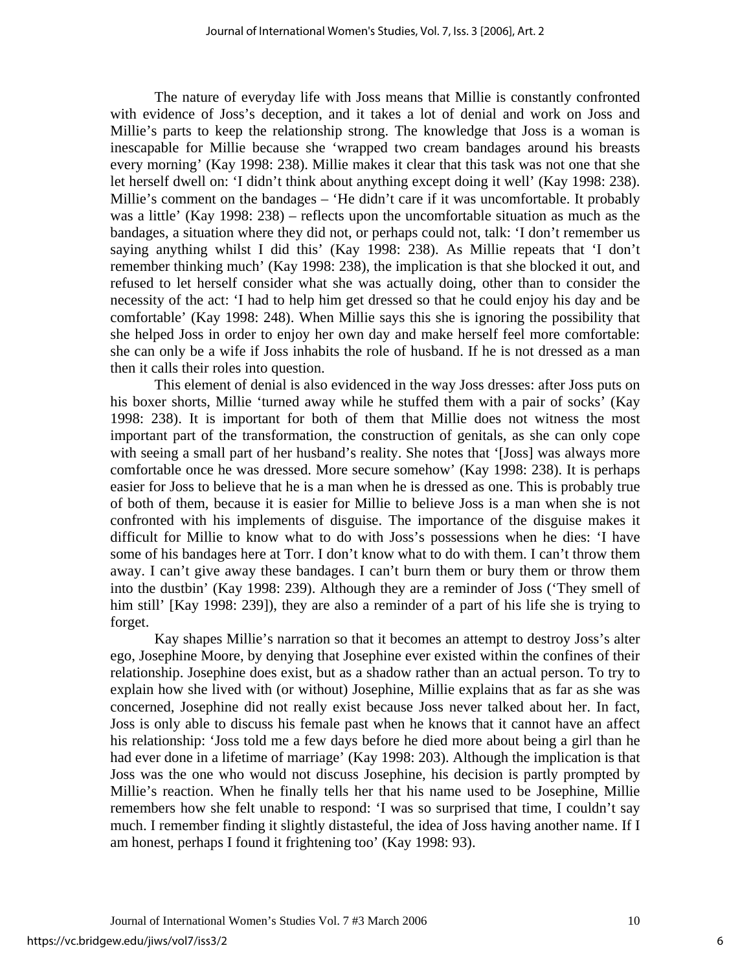The nature of everyday life with Joss means that Millie is constantly confronted with evidence of Joss's deception, and it takes a lot of denial and work on Joss and Millie's parts to keep the relationship strong. The knowledge that Joss is a woman is inescapable for Millie because she 'wrapped two cream bandages around his breasts every morning' (Kay 1998: 238). Millie makes it clear that this task was not one that she let herself dwell on: 'I didn't think about anything except doing it well' (Kay 1998: 238). Millie's comment on the bandages – 'He didn't care if it was uncomfortable. It probably was a little' (Kay 1998: 238) – reflects upon the uncomfortable situation as much as the bandages, a situation where they did not, or perhaps could not, talk: 'I don't remember us saying anything whilst I did this' (Kay 1998: 238). As Millie repeats that 'I don't remember thinking much' (Kay 1998: 238), the implication is that she blocked it out, and refused to let herself consider what she was actually doing, other than to consider the necessity of the act: 'I had to help him get dressed so that he could enjoy his day and be comfortable' (Kay 1998: 248). When Millie says this she is ignoring the possibility that she helped Joss in order to enjoy her own day and make herself feel more comfortable: she can only be a wife if Joss inhabits the role of husband. If he is not dressed as a man then it calls their roles into question.

 This element of denial is also evidenced in the way Joss dresses: after Joss puts on his boxer shorts, Millie 'turned away while he stuffed them with a pair of socks' (Kay 1998: 238). It is important for both of them that Millie does not witness the most important part of the transformation, the construction of genitals, as she can only cope with seeing a small part of her husband's reality. She notes that '[Joss] was always more comfortable once he was dressed. More secure somehow' (Kay 1998: 238). It is perhaps easier for Joss to believe that he is a man when he is dressed as one. This is probably true of both of them, because it is easier for Millie to believe Joss is a man when she is not confronted with his implements of disguise. The importance of the disguise makes it difficult for Millie to know what to do with Joss's possessions when he dies: 'I have some of his bandages here at Torr. I don't know what to do with them. I can't throw them away. I can't give away these bandages. I can't burn them or bury them or throw them into the dustbin' (Kay 1998: 239). Although they are a reminder of Joss ('They smell of him still' [Kay 1998: 239]), they are also a reminder of a part of his life she is trying to forget.

 Kay shapes Millie's narration so that it becomes an attempt to destroy Joss's alter ego, Josephine Moore, by denying that Josephine ever existed within the confines of their relationship. Josephine does exist, but as a shadow rather than an actual person. To try to explain how she lived with (or without) Josephine, Millie explains that as far as she was concerned, Josephine did not really exist because Joss never talked about her. In fact, Joss is only able to discuss his female past when he knows that it cannot have an affect his relationship: 'Joss told me a few days before he died more about being a girl than he had ever done in a lifetime of marriage' (Kay 1998: 203). Although the implication is that Joss was the one who would not discuss Josephine, his decision is partly prompted by Millie's reaction. When he finally tells her that his name used to be Josephine, Millie remembers how she felt unable to respond: 'I was so surprised that time, I couldn't say much. I remember finding it slightly distasteful, the idea of Joss having another name. If I am honest, perhaps I found it frightening too' (Kay 1998: 93).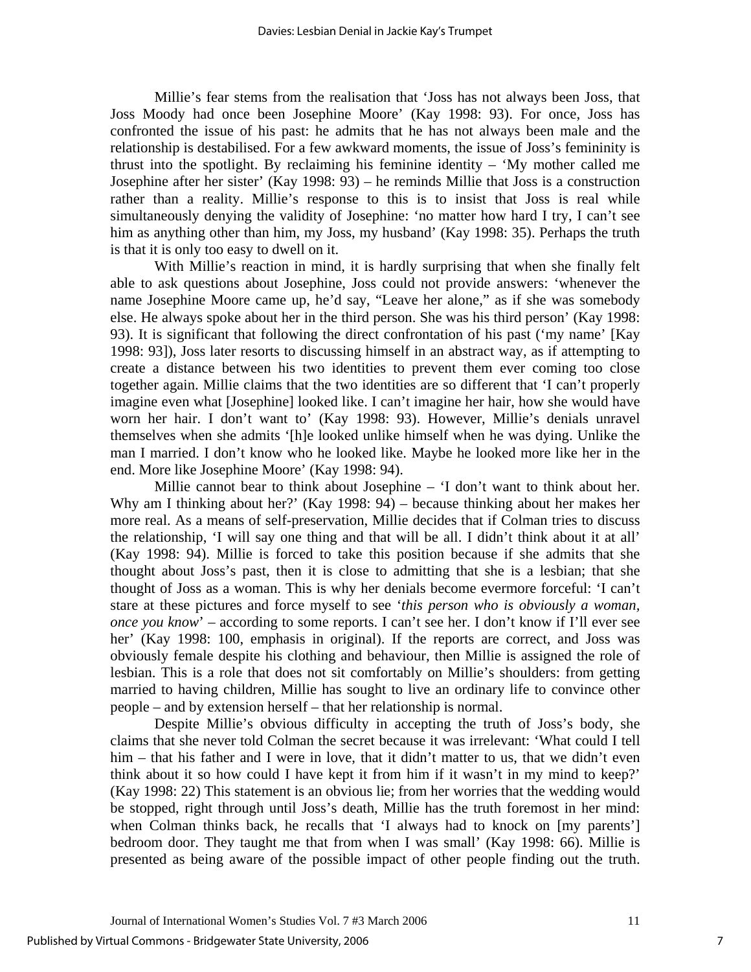Millie's fear stems from the realisation that 'Joss has not always been Joss, that Joss Moody had once been Josephine Moore' (Kay 1998: 93). For once, Joss has confronted the issue of his past: he admits that he has not always been male and the relationship is destabilised. For a few awkward moments, the issue of Joss's femininity is thrust into the spotlight. By reclaiming his feminine identity – 'My mother called me Josephine after her sister' (Kay 1998: 93) – he reminds Millie that Joss is a construction rather than a reality. Millie's response to this is to insist that Joss is real while simultaneously denying the validity of Josephine: 'no matter how hard I try, I can't see him as anything other than him, my Joss, my husband' (Kay 1998: 35). Perhaps the truth is that it is only too easy to dwell on it.

 With Millie's reaction in mind, it is hardly surprising that when she finally felt able to ask questions about Josephine, Joss could not provide answers: 'whenever the name Josephine Moore came up, he'd say, "Leave her alone," as if she was somebody else. He always spoke about her in the third person. She was his third person' (Kay 1998: 93). It is significant that following the direct confrontation of his past ('my name' [Kay 1998: 93]), Joss later resorts to discussing himself in an abstract way, as if attempting to create a distance between his two identities to prevent them ever coming too close together again. Millie claims that the two identities are so different that 'I can't properly imagine even what [Josephine] looked like. I can't imagine her hair, how she would have worn her hair. I don't want to' (Kay 1998: 93). However, Millie's denials unravel themselves when she admits '[h]e looked unlike himself when he was dying. Unlike the man I married. I don't know who he looked like. Maybe he looked more like her in the end. More like Josephine Moore' (Kay 1998: 94).

 Millie cannot bear to think about Josephine – 'I don't want to think about her. Why am I thinking about her?' (Kay 1998: 94) – because thinking about her makes her more real. As a means of self-preservation, Millie decides that if Colman tries to discuss the relationship, 'I will say one thing and that will be all. I didn't think about it at all' (Kay 1998: 94). Millie is forced to take this position because if she admits that she thought about Joss's past, then it is close to admitting that she is a lesbian; that she thought of Joss as a woman. This is why her denials become evermore forceful: 'I can't stare at these pictures and force myself to see '*this person who is obviously a woman, once you know*' – according to some reports. I can't see her. I don't know if I'll ever see her' (Kay 1998: 100, emphasis in original). If the reports are correct, and Joss was obviously female despite his clothing and behaviour, then Millie is assigned the role of lesbian. This is a role that does not sit comfortably on Millie's shoulders: from getting married to having children, Millie has sought to live an ordinary life to convince other people – and by extension herself – that her relationship is normal.

 Despite Millie's obvious difficulty in accepting the truth of Joss's body, she claims that she never told Colman the secret because it was irrelevant: 'What could I tell him – that his father and I were in love, that it didn't matter to us, that we didn't even think about it so how could I have kept it from him if it wasn't in my mind to keep?' (Kay 1998: 22) This statement is an obvious lie; from her worries that the wedding would be stopped, right through until Joss's death, Millie has the truth foremost in her mind: when Colman thinks back, he recalls that 'I always had to knock on [my parents'] bedroom door. They taught me that from when I was small' (Kay 1998: 66). Millie is presented as being aware of the possible impact of other people finding out the truth.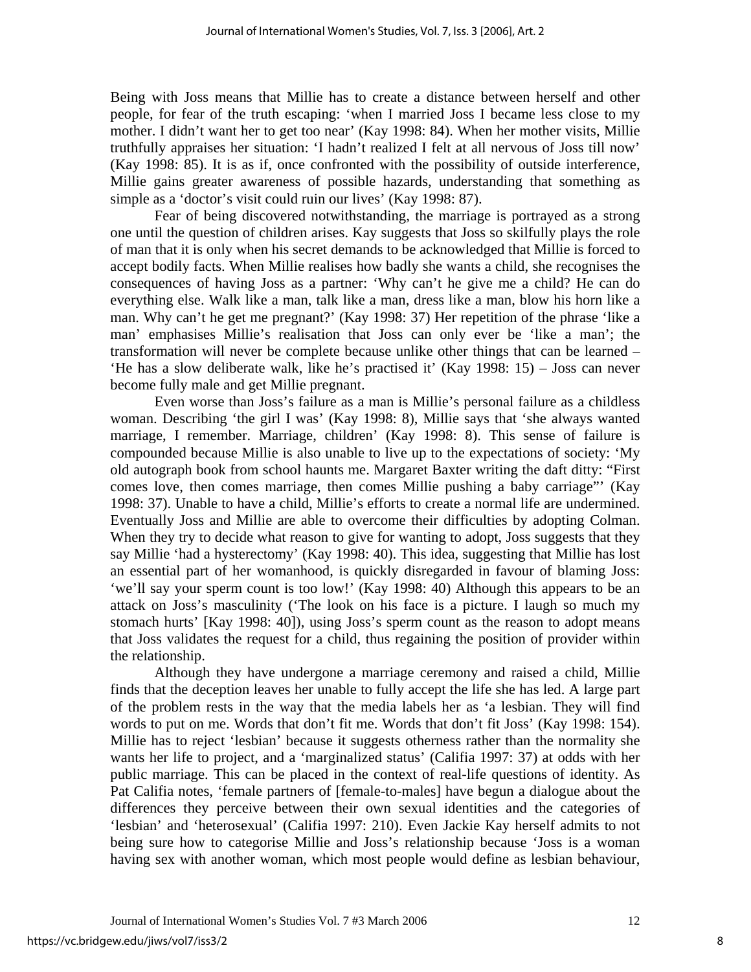Being with Joss means that Millie has to create a distance between herself and other people, for fear of the truth escaping: 'when I married Joss I became less close to my mother. I didn't want her to get too near' (Kay 1998: 84). When her mother visits, Millie truthfully appraises her situation: 'I hadn't realized I felt at all nervous of Joss till now' (Kay 1998: 85). It is as if, once confronted with the possibility of outside interference, Millie gains greater awareness of possible hazards, understanding that something as simple as a 'doctor's visit could ruin our lives' (Kay 1998: 87).

 Fear of being discovered notwithstanding, the marriage is portrayed as a strong one until the question of children arises. Kay suggests that Joss so skilfully plays the role of man that it is only when his secret demands to be acknowledged that Millie is forced to accept bodily facts. When Millie realises how badly she wants a child, she recognises the consequences of having Joss as a partner: 'Why can't he give me a child? He can do everything else. Walk like a man, talk like a man, dress like a man, blow his horn like a man. Why can't he get me pregnant?' (Kay 1998: 37) Her repetition of the phrase 'like a man' emphasises Millie's realisation that Joss can only ever be 'like a man'; the transformation will never be complete because unlike other things that can be learned – 'He has a slow deliberate walk, like he's practised it' (Kay 1998: 15) – Joss can never become fully male and get Millie pregnant.

 Even worse than Joss's failure as a man is Millie's personal failure as a childless woman. Describing 'the girl I was' (Kay 1998: 8), Millie says that 'she always wanted marriage, I remember. Marriage, children' (Kay 1998: 8). This sense of failure is compounded because Millie is also unable to live up to the expectations of society: 'My old autograph book from school haunts me. Margaret Baxter writing the daft ditty: "First comes love, then comes marriage, then comes Millie pushing a baby carriage"' (Kay 1998: 37). Unable to have a child, Millie's efforts to create a normal life are undermined. Eventually Joss and Millie are able to overcome their difficulties by adopting Colman. When they try to decide what reason to give for wanting to adopt, Joss suggests that they say Millie 'had a hysterectomy' (Kay 1998: 40). This idea, suggesting that Millie has lost an essential part of her womanhood, is quickly disregarded in favour of blaming Joss: 'we'll say your sperm count is too low!' (Kay 1998: 40) Although this appears to be an attack on Joss's masculinity ('The look on his face is a picture. I laugh so much my stomach hurts' [Kay 1998: 40]), using Joss's sperm count as the reason to adopt means that Joss validates the request for a child, thus regaining the position of provider within the relationship.

Although they have undergone a marriage ceremony and raised a child, Millie finds that the deception leaves her unable to fully accept the life she has led. A large part of the problem rests in the way that the media labels her as 'a lesbian. They will find words to put on me. Words that don't fit me. Words that don't fit Joss' (Kay 1998: 154). Millie has to reject 'lesbian' because it suggests otherness rather than the normality she wants her life to project, and a 'marginalized status' (Califia 1997: 37) at odds with her public marriage. This can be placed in the context of real-life questions of identity. As Pat Califia notes, 'female partners of [female-to-males] have begun a dialogue about the differences they perceive between their own sexual identities and the categories of 'lesbian' and 'heterosexual' (Califia 1997: 210). Even Jackie Kay herself admits to not being sure how to categorise Millie and Joss's relationship because 'Joss is a woman having sex with another woman, which most people would define as lesbian behaviour,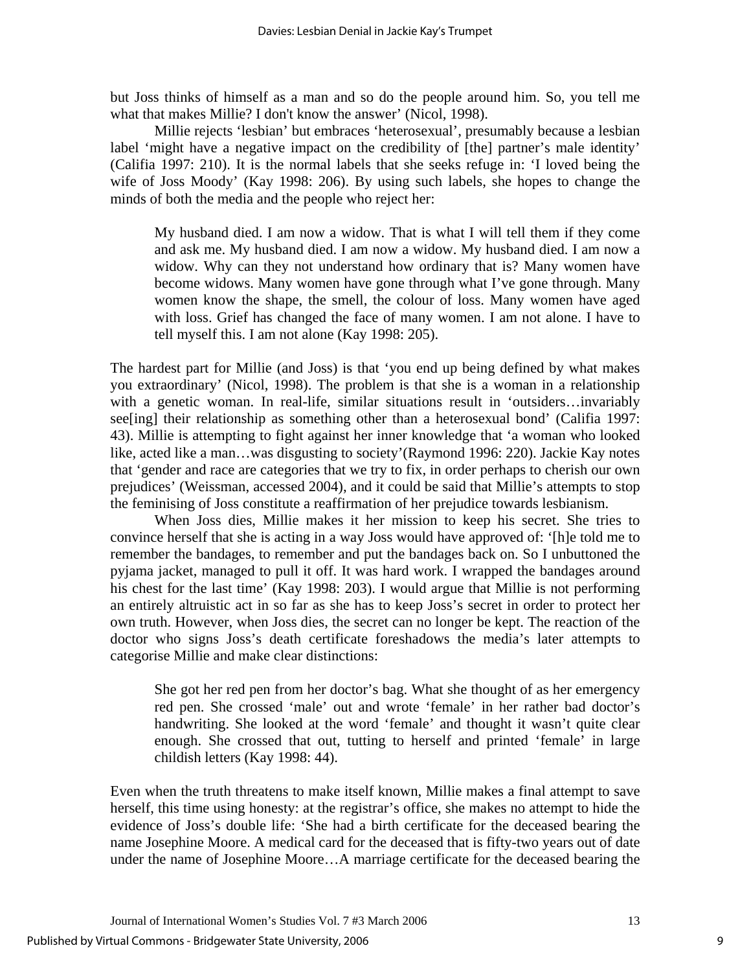but Joss thinks of himself as a man and so do the people around him. So, you tell me what that makes Millie? I don't know the answer' (Nicol, 1998).

Millie rejects 'lesbian' but embraces 'heterosexual', presumably because a lesbian label 'might have a negative impact on the credibility of [the] partner's male identity' (Califia 1997: 210). It is the normal labels that she seeks refuge in: 'I loved being the wife of Joss Moody' (Kay 1998: 206). By using such labels, she hopes to change the minds of both the media and the people who reject her:

My husband died. I am now a widow. That is what I will tell them if they come and ask me. My husband died. I am now a widow. My husband died. I am now a widow. Why can they not understand how ordinary that is? Many women have become widows. Many women have gone through what I've gone through. Many women know the shape, the smell, the colour of loss. Many women have aged with loss. Grief has changed the face of many women. I am not alone. I have to tell myself this. I am not alone (Kay 1998: 205).

The hardest part for Millie (and Joss) is that 'you end up being defined by what makes you extraordinary' (Nicol, 1998). The problem is that she is a woman in a relationship with a genetic woman. In real-life, similar situations result in 'outsiders…invariably see[ing] their relationship as something other than a heterosexual bond' (Califia 1997: 43). Millie is attempting to fight against her inner knowledge that 'a woman who looked like, acted like a man…was disgusting to society'(Raymond 1996: 220). Jackie Kay notes that 'gender and race are categories that we try to fix, in order perhaps to cherish our own prejudices' (Weissman, accessed 2004), and it could be said that Millie's attempts to stop the feminising of Joss constitute a reaffirmation of her prejudice towards lesbianism.

 When Joss dies, Millie makes it her mission to keep his secret. She tries to convince herself that she is acting in a way Joss would have approved of: '[h]e told me to remember the bandages, to remember and put the bandages back on. So I unbuttoned the pyjama jacket, managed to pull it off. It was hard work. I wrapped the bandages around his chest for the last time' (Kay 1998: 203). I would argue that Millie is not performing an entirely altruistic act in so far as she has to keep Joss's secret in order to protect her own truth. However, when Joss dies, the secret can no longer be kept. The reaction of the doctor who signs Joss's death certificate foreshadows the media's later attempts to categorise Millie and make clear distinctions:

She got her red pen from her doctor's bag. What she thought of as her emergency red pen. She crossed 'male' out and wrote 'female' in her rather bad doctor's handwriting. She looked at the word 'female' and thought it wasn't quite clear enough. She crossed that out, tutting to herself and printed 'female' in large childish letters (Kay 1998: 44).

Even when the truth threatens to make itself known, Millie makes a final attempt to save herself, this time using honesty: at the registrar's office, she makes no attempt to hide the evidence of Joss's double life: 'She had a birth certificate for the deceased bearing the name Josephine Moore. A medical card for the deceased that is fifty-two years out of date under the name of Josephine Moore…A marriage certificate for the deceased bearing the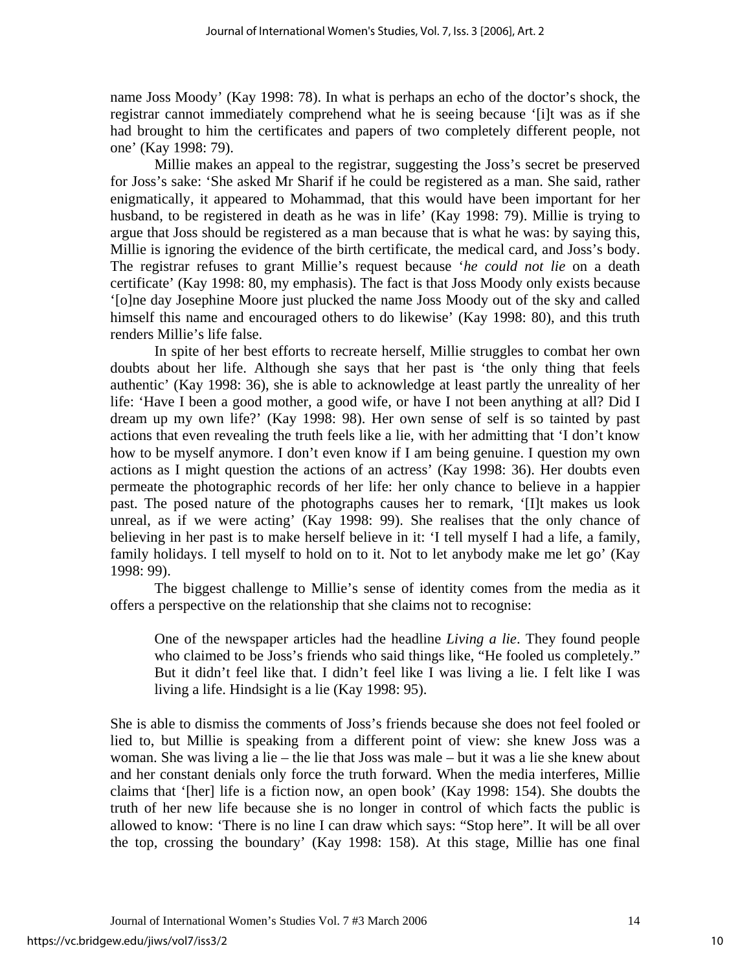name Joss Moody' (Kay 1998: 78). In what is perhaps an echo of the doctor's shock, the registrar cannot immediately comprehend what he is seeing because '[i]t was as if she had brought to him the certificates and papers of two completely different people, not one' (Kay 1998: 79).

 Millie makes an appeal to the registrar, suggesting the Joss's secret be preserved for Joss's sake: 'She asked Mr Sharif if he could be registered as a man. She said, rather enigmatically, it appeared to Mohammad, that this would have been important for her husband, to be registered in death as he was in life' (Kay 1998: 79). Millie is trying to argue that Joss should be registered as a man because that is what he was: by saying this, Millie is ignoring the evidence of the birth certificate, the medical card, and Joss's body. The registrar refuses to grant Millie's request because '*he could not lie* on a death certificate' (Kay 1998: 80, my emphasis). The fact is that Joss Moody only exists because '[o]ne day Josephine Moore just plucked the name Joss Moody out of the sky and called himself this name and encouraged others to do likewise' (Kay 1998: 80), and this truth renders Millie's life false.

 In spite of her best efforts to recreate herself, Millie struggles to combat her own doubts about her life. Although she says that her past is 'the only thing that feels authentic' (Kay 1998: 36), she is able to acknowledge at least partly the unreality of her life: 'Have I been a good mother, a good wife, or have I not been anything at all? Did I dream up my own life?' (Kay 1998: 98). Her own sense of self is so tainted by past actions that even revealing the truth feels like a lie, with her admitting that 'I don't know how to be myself anymore. I don't even know if I am being genuine. I question my own actions as I might question the actions of an actress' (Kay 1998: 36). Her doubts even permeate the photographic records of her life: her only chance to believe in a happier past. The posed nature of the photographs causes her to remark, '[I]t makes us look unreal, as if we were acting' (Kay 1998: 99). She realises that the only chance of believing in her past is to make herself believe in it: 'I tell myself I had a life, a family, family holidays. I tell myself to hold on to it. Not to let anybody make me let go' (Kay 1998: 99).

 The biggest challenge to Millie's sense of identity comes from the media as it offers a perspective on the relationship that she claims not to recognise:

One of the newspaper articles had the headline *Living a lie*. They found people who claimed to be Joss's friends who said things like, "He fooled us completely." But it didn't feel like that. I didn't feel like I was living a lie. I felt like I was living a life. Hindsight is a lie (Kay 1998: 95).

She is able to dismiss the comments of Joss's friends because she does not feel fooled or lied to, but Millie is speaking from a different point of view: she knew Joss was a woman. She was living a lie – the lie that Joss was male – but it was a lie she knew about and her constant denials only force the truth forward. When the media interferes, Millie claims that '[her] life is a fiction now, an open book' (Kay 1998: 154). She doubts the truth of her new life because she is no longer in control of which facts the public is allowed to know: 'There is no line I can draw which says: "Stop here". It will be all over the top, crossing the boundary' (Kay 1998: 158). At this stage, Millie has one final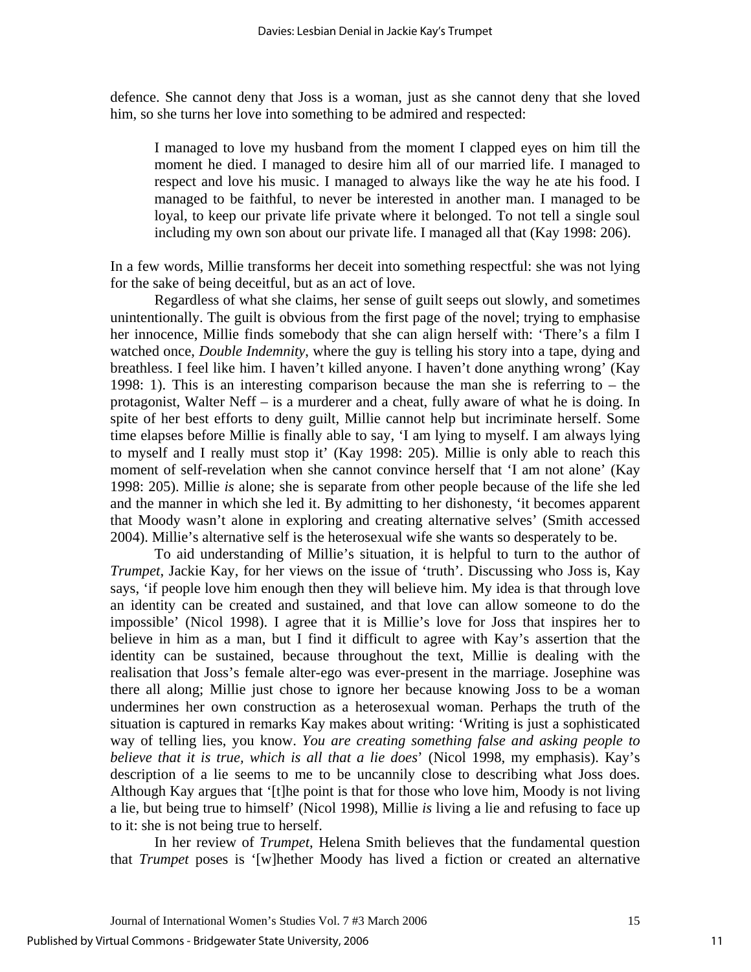defence. She cannot deny that Joss is a woman, just as she cannot deny that she loved him, so she turns her love into something to be admired and respected:

I managed to love my husband from the moment I clapped eyes on him till the moment he died. I managed to desire him all of our married life. I managed to respect and love his music. I managed to always like the way he ate his food. I managed to be faithful, to never be interested in another man. I managed to be loyal, to keep our private life private where it belonged. To not tell a single soul including my own son about our private life. I managed all that (Kay 1998: 206).

In a few words, Millie transforms her deceit into something respectful: she was not lying for the sake of being deceitful, but as an act of love.

Regardless of what she claims, her sense of guilt seeps out slowly, and sometimes unintentionally. The guilt is obvious from the first page of the novel; trying to emphasise her innocence, Millie finds somebody that she can align herself with: 'There's a film I watched once, *Double Indemnity*, where the guy is telling his story into a tape, dying and breathless. I feel like him. I haven't killed anyone. I haven't done anything wrong' (Kay 1998: 1). This is an interesting comparison because the man she is referring to – the protagonist, Walter Neff – is a murderer and a cheat, fully aware of what he is doing. In spite of her best efforts to deny guilt, Millie cannot help but incriminate herself. Some time elapses before Millie is finally able to say, 'I am lying to myself. I am always lying to myself and I really must stop it' (Kay 1998: 205). Millie is only able to reach this moment of self-revelation when she cannot convince herself that 'I am not alone' (Kay 1998: 205). Millie *is* alone; she is separate from other people because of the life she led and the manner in which she led it. By admitting to her dishonesty, 'it becomes apparent that Moody wasn't alone in exploring and creating alternative selves' (Smith accessed 2004). Millie's alternative self is the heterosexual wife she wants so desperately to be.

 To aid understanding of Millie's situation, it is helpful to turn to the author of *Trumpet*, Jackie Kay, for her views on the issue of 'truth'. Discussing who Joss is, Kay says, 'if people love him enough then they will believe him. My idea is that through love an identity can be created and sustained, and that love can allow someone to do the impossible' (Nicol 1998). I agree that it is Millie's love for Joss that inspires her to believe in him as a man, but I find it difficult to agree with Kay's assertion that the identity can be sustained, because throughout the text, Millie is dealing with the realisation that Joss's female alter-ego was ever-present in the marriage. Josephine was there all along; Millie just chose to ignore her because knowing Joss to be a woman undermines her own construction as a heterosexual woman. Perhaps the truth of the situation is captured in remarks Kay makes about writing: 'Writing is just a sophisticated way of telling lies, you know. *You are creating something false and asking people to believe that it is true, which is all that a lie does*' (Nicol 1998, my emphasis). Kay's description of a lie seems to me to be uncannily close to describing what Joss does. Although Kay argues that '[t]he point is that for those who love him, Moody is not living a lie, but being true to himself' (Nicol 1998), Millie *is* living a lie and refusing to face up to it: she is not being true to herself.

 In her review of *Trumpet*, Helena Smith believes that the fundamental question that *Trumpet* poses is '[w]hether Moody has lived a fiction or created an alternative